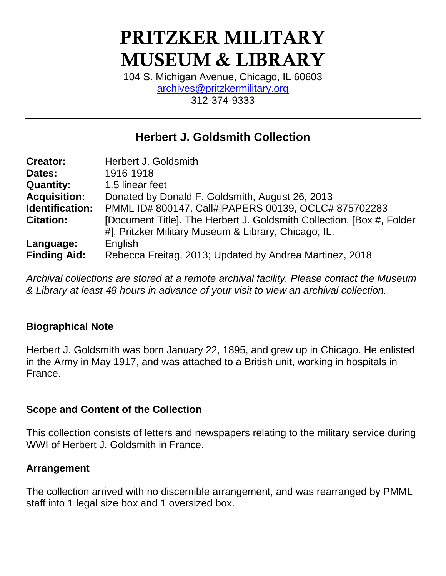# **PRITZKER MILITARY MUSEUM & LIBRARY**

104 S. Michigan Avenue, Chicago, IL 60603 [archives@pritzkermilitary.org](mailto:archives@pritzkermilitary.org) 312-374-9333

# **Herbert J. Goldsmith Collection**

| <b>Creator:</b>     | Herbert J. Goldsmith                                                   |
|---------------------|------------------------------------------------------------------------|
| Dates:              | 1916-1918                                                              |
| <b>Quantity:</b>    | 1.5 linear feet                                                        |
| <b>Acquisition:</b> | Donated by Donald F. Goldsmith, August 26, 2013                        |
| Identification:     | PMML ID# 800147, Call# PAPERS 00139, OCLC# 875702283                   |
| <b>Citation:</b>    | [Document Title]. The Herbert J. Goldsmith Collection, [Box #, Folder] |
|                     | #], Pritzker Military Museum & Library, Chicago, IL.                   |
| Language:           | English                                                                |
| <b>Finding Aid:</b> | Rebecca Freitag, 2013; Updated by Andrea Martinez, 2018                |

*Archival collections are stored at a remote archival facility. Please contact the Museum & Library at least 48 hours in advance of your visit to view an archival collection.*

# **Biographical Note**

Herbert J. Goldsmith was born January 22, 1895, and grew up in Chicago. He enlisted in the Army in May 1917, and was attached to a British unit, working in hospitals in France.

### **Scope and Content of the Collection**

This collection consists of letters and newspapers relating to the military service during WWI of Herbert J. Goldsmith in France.

### **Arrangement**

The collection arrived with no discernible arrangement, and was rearranged by PMML staff into 1 legal size box and 1 oversized box.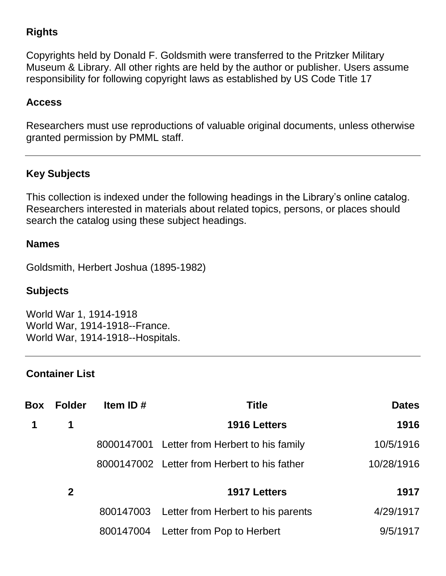# **Rights**

Copyrights held by Donald F. Goldsmith were transferred to the Pritzker Military Museum & Library. All other rights are held by the author or publisher. Users assume responsibility for following copyright laws as established by US Code Title 17

## **Access**

Researchers must use reproductions of valuable original documents, unless otherwise granted permission by PMML staff.

# **Key Subjects**

This collection is indexed under the following headings in the Library's online catalog. Researchers interested in materials about related topics, persons, or places should search the catalog using these subject headings.

#### **Names**

Goldsmith, Herbert Joshua (1895-1982)

### **Subjects**

World War 1, 1914-1918 World War, 1914-1918--France. World War, 1914-1918--Hospitals.

### **Container List**

| Box | <b>Folder</b> | Item ID $#$ | <b>Title</b>                                 | <b>Dates</b> |
|-----|---------------|-------------|----------------------------------------------|--------------|
|     | 1             |             | 1916 Letters                                 | 1916         |
|     |               |             | 8000147001 Letter from Herbert to his family | 10/5/1916    |
|     |               |             | 8000147002 Letter from Herbert to his father | 10/28/1916   |
|     | $\mathbf{2}$  |             | <b>1917 Letters</b>                          | 1917         |
|     |               | 800147003   | Letter from Herbert to his parents           | 4/29/1917    |
|     |               | 800147004   | Letter from Pop to Herbert                   | 9/5/1917     |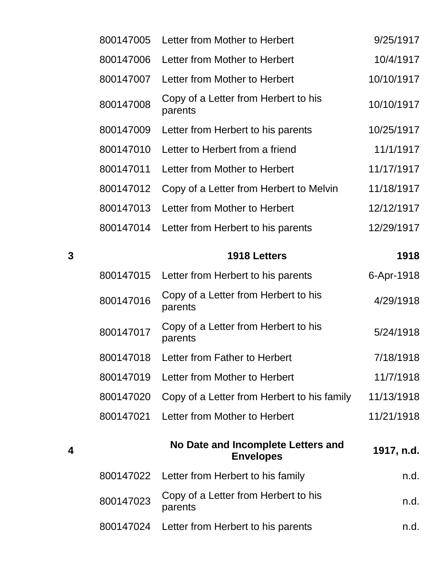|   | 800147005 | Letter from Mother to Herbert                   | 9/25/1917  |
|---|-----------|-------------------------------------------------|------------|
|   | 800147006 | Letter from Mother to Herbert                   | 10/4/1917  |
|   | 800147007 | Letter from Mother to Herbert                   | 10/10/1917 |
|   | 800147008 | Copy of a Letter from Herbert to his<br>parents | 10/10/1917 |
|   | 800147009 | Letter from Herbert to his parents              | 10/25/1917 |
|   | 800147010 | Letter to Herbert from a friend                 | 11/1/1917  |
|   | 800147011 | Letter from Mother to Herbert                   | 11/17/1917 |
|   | 800147012 | Copy of a Letter from Herbert to Melvin         | 11/18/1917 |
|   | 800147013 | Letter from Mother to Herbert                   | 12/12/1917 |
|   | 800147014 | Letter from Herbert to his parents              | 12/29/1917 |
| 3 |           | 1918 Letters                                    | 1918       |
|   | 800147015 | Letter from Herbert to his parents              | 6-Apr-1918 |

|           | 800147015 Letter from Herbert to his parents           | 6-Apr-1918 |
|-----------|--------------------------------------------------------|------------|
| 800147016 | Copy of a Letter from Herbert to his<br>parents        | 4/29/1918  |
| 800147017 | Copy of a Letter from Herbert to his<br>parents        | 5/24/1918  |
| 800147018 | Letter from Father to Herbert                          | 7/18/1918  |
| 800147019 | Letter from Mother to Herbert                          | 11/7/1918  |
| 800147020 | Copy of a Letter from Herbert to his family            | 11/13/1918 |
| 800147021 | Letter from Mother to Herbert                          | 11/21/1918 |
|           | No Date and Incomplete Letters and<br><b>Envelopes</b> | 1917, n.d. |
|           | 800147022 Letter from Herbert to his family            | n.d.       |
| 800147023 | Copy of a Letter from Herbert to his<br>parents        | n.d.       |

**4**

800147024 Letter from Herbert to his parents m.d.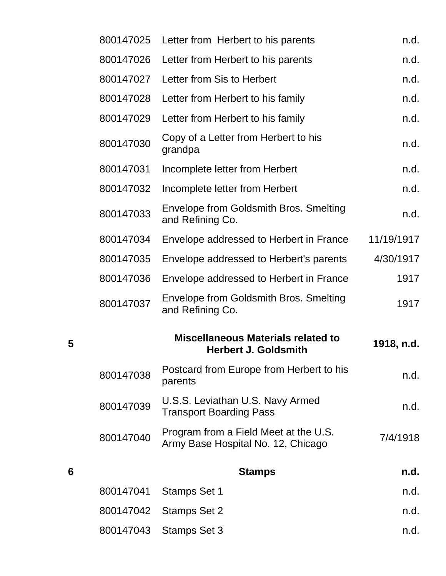|   | 800147025 | Letter from Herbert to his parents                                          | n.d.       |
|---|-----------|-----------------------------------------------------------------------------|------------|
|   | 800147026 | Letter from Herbert to his parents                                          | n.d.       |
|   | 800147027 | Letter from Sis to Herbert                                                  | n.d.       |
|   | 800147028 | Letter from Herbert to his family                                           | n.d.       |
|   | 800147029 | Letter from Herbert to his family                                           | n.d.       |
|   | 800147030 | Copy of a Letter from Herbert to his<br>grandpa                             | n.d.       |
|   | 800147031 | Incomplete letter from Herbert                                              | n.d.       |
|   | 800147032 | Incomplete letter from Herbert                                              | n.d.       |
|   | 800147033 | Envelope from Goldsmith Bros. Smelting<br>and Refining Co.                  | n.d.       |
|   | 800147034 | Envelope addressed to Herbert in France                                     | 11/19/1917 |
|   | 800147035 | Envelope addressed to Herbert's parents                                     | 4/30/1917  |
|   | 800147036 | Envelope addressed to Herbert in France                                     | 1917       |
|   | 800147037 | Envelope from Goldsmith Bros. Smelting<br>and Refining Co.                  | 1917       |
| 5 |           | <b>Miscellaneous Materials related to</b><br><b>Herbert J. Goldsmith</b>    | 1918, n.d. |
|   | 800147038 | Postcard from Europe from Herbert to his<br>parents                         | n.d.       |
|   | 800147039 | U.S.S. Leviathan U.S. Navy Armed<br><b>Transport Boarding Pass</b>          | n.d.       |
|   | 800147040 | Program from a Field Meet at the U.S.<br>Army Base Hospital No. 12, Chicago | 7/4/1918   |
| 6 |           | <b>Stamps</b>                                                               | n.d.       |
|   | 800147041 | <b>Stamps Set 1</b>                                                         | n.d.       |
|   | 800147042 | <b>Stamps Set 2</b>                                                         | n.d.       |
|   | 800147043 | <b>Stamps Set 3</b>                                                         | n.d.       |